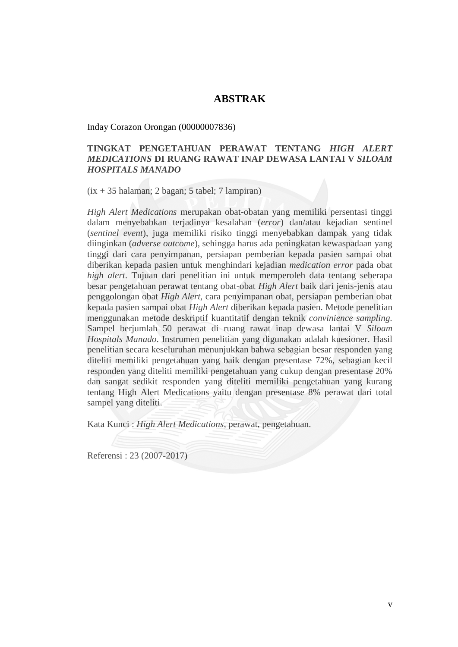## **ABSTRAK**

Inday Corazon Orongan (00000007836)

## **TINGKAT PENGETAHUAN PERAWAT TENTANG** *HIGH ALERT MEDICATIONS* **DI RUANG RAWAT INAP DEWASA LANTAI V** *SILOAM HOSPITALS MANADO*

 $(ix + 35 \text{ halaman}; 2 \text{ bagan}; 5 \text{ tabel}; 7 \text{ lampiran})$ 

*High Alert Medications* merupakan obat-obatan yang memiliki persentasi tinggi dalam menyebabkan terjadinya kesalahan (*error*) dan/atau kejadian sentinel (*sentinel event*), juga memiliki risiko tinggi menyebabkan dampak yang tidak diinginkan (*adverse outcome*), sehingga harus ada peningkatan kewaspadaan yang tinggi dari cara penyimpanan, persiapan pemberian kepada pasien sampai obat diberikan kepada pasien untuk menghindari kejadian *medication error* pada obat *high alert*. Tujuan dari penelitian ini untuk memperoleh data tentang seberapa besar pengetahuan perawat tentang obat-obat *High Alert* baik dari jenis-jenis atau penggolongan obat *High Alert*, cara penyimpanan obat, persiapan pemberian obat kepada pasien sampai obat *High Alert* diberikan kepada pasien. Metode penelitian menggunakan metode deskriptif kuantitatif dengan teknik *convinience sampling.* Sampel berjumlah 50 perawat di ruang rawat inap dewasa lantai V *Siloam Hospitals Manado*. Instrumen penelitian yang digunakan adalah kuesioner. Hasil penelitian secara keseluruhan menunjukkan bahwa sebagian besar responden yang diteliti memiliki pengetahuan yang baik dengan presentase 72%, sebagian kecil responden yang diteliti memiliki pengetahuan yang cukup dengan presentase 20% dan sangat sedikit responden yang diteliti memiliki pengetahuan yang kurang tentang High Alert Medications yaitu dengan presentase 8% perawat dari total sampel yang diteliti.

Kata Kunci : *High Alert Medications,* perawat, pengetahuan.

Referensi : 23 (2007-2017)